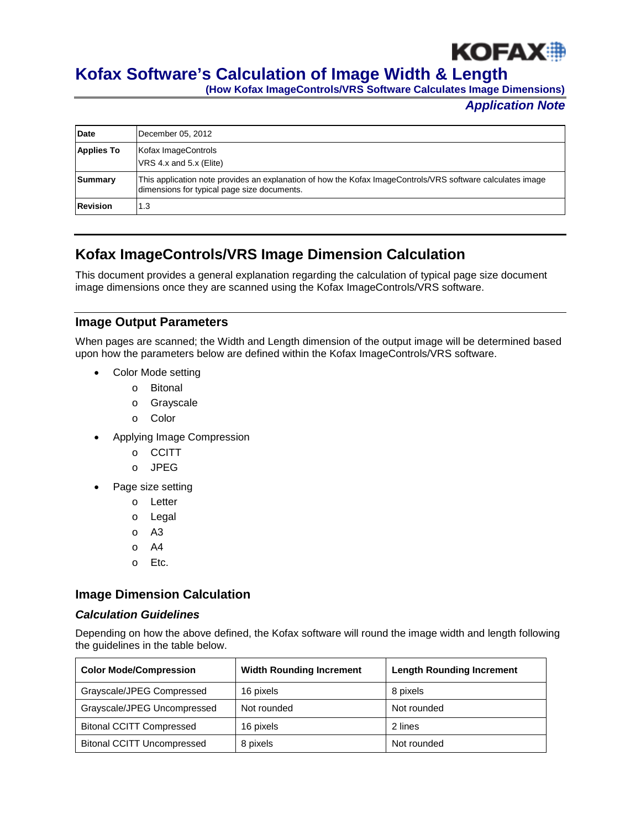

# **Kofax Software's Calculation of Image Width & Length**

**(How Kofax ImageControls/VRS Software Calculates Image Dimensions)**

*Application Note*

| Date              | December 05, 2012                                                                                                                                         |
|-------------------|-----------------------------------------------------------------------------------------------------------------------------------------------------------|
| <b>Applies To</b> | Kofax ImageControls<br>VRS 4.x and 5.x (Elite)                                                                                                            |
| Summary           | This application note provides an explanation of how the Kofax ImageControls/VRS software calculates image<br>dimensions for typical page size documents. |
| <b>Revision</b>   | 1.3                                                                                                                                                       |

# **Kofax ImageControls/VRS Image Dimension Calculation**

This document provides a general explanation regarding the calculation of typical page size document image dimensions once they are scanned using the Kofax ImageControls/VRS software.

### **Image Output Parameters**

When pages are scanned; the Width and Length dimension of the output image will be determined based upon how the parameters below are defined within the Kofax ImageControls/VRS software.

- Color Mode setting
	- o Bitonal
	- o Grayscale
	- o Color
- Applying Image Compression
	- o CCITT
	- o JPEG
- Page size setting
	- o Letter
	- o Legal
	- o A3
	- o A4
	- o Etc.

## **Image Dimension Calculation**

#### *Calculation Guidelines*

Depending on how the above defined, the Kofax software will round the image width and length following the guidelines in the table below.

| <b>Color Mode/Compression</b>     | <b>Width Rounding Increment</b> | <b>Length Rounding Increment</b> |  |
|-----------------------------------|---------------------------------|----------------------------------|--|
| Grayscale/JPEG Compressed         | 16 pixels                       | 8 pixels                         |  |
| Grayscale/JPEG Uncompressed       | Not rounded                     | Not rounded                      |  |
| <b>Bitonal CCITT Compressed</b>   | 16 pixels                       | 2 lines                          |  |
| <b>Bitonal CCITT Uncompressed</b> | 8 pixels                        | Not rounded                      |  |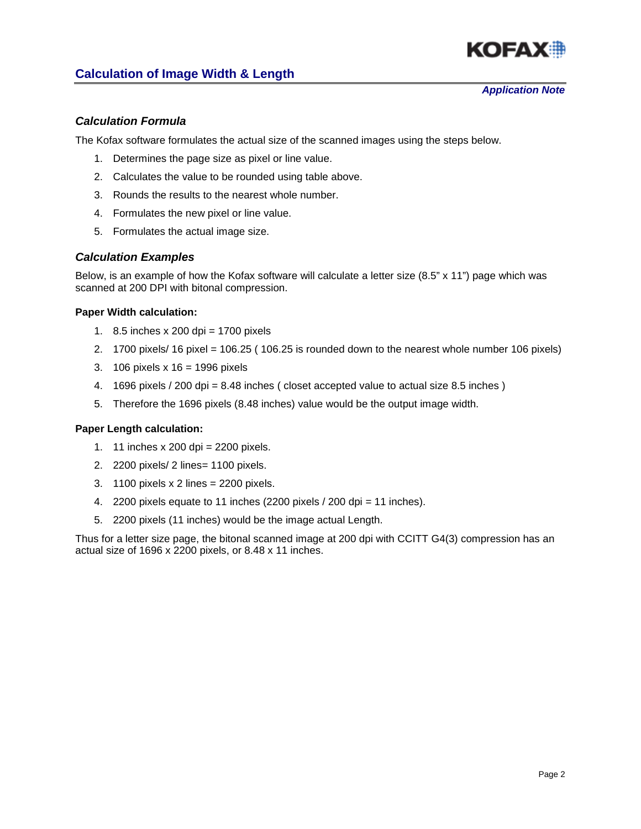

## **Calculation of Image Width & Length**

#### *Calculation Formula*

The Kofax software formulates the actual size of the scanned images using the steps below.

- 1. Determines the page size as pixel or line value.
- 2. Calculates the value to be rounded using table above.
- 3. Rounds the results to the nearest whole number.
- 4. Formulates the new pixel or line value.
- 5. Formulates the actual image size.

#### *Calculation Examples*

Below, is an example of how the Kofax software will calculate a letter size (8.5" x 11") page which was scanned at 200 DPI with bitonal compression.

#### **Paper Width calculation:**

- 1. 8.5 inches x 200 dpi = 1700 pixels
- 2. 1700 pixels/ 16 pixel  $= 106.25$  (106.25 is rounded down to the nearest whole number 106 pixels)
- 3. 106 pixels x 16 = 1996 pixels
- 4. 1696 pixels / 200 dpi = 8.48 inches ( closet accepted value to actual size 8.5 inches )
- 5. Therefore the 1696 pixels (8.48 inches) value would be the output image width.

#### **Paper Length calculation:**

- 1. 11 inches x 200 dpi = 2200 pixels.
- 2. 2200 pixels/ 2 lines= 1100 pixels.
- 3. 1100 pixels x 2 lines = 2200 pixels.
- 4. 2200 pixels equate to 11 inches (2200 pixels / 200 dpi = 11 inches).
- 5. 2200 pixels (11 inches) would be the image actual Length.

Thus for a letter size page, the bitonal scanned image at 200 dpi with CCITT G4(3) compression has an actual size of 1696 x 2200 pixels, or 8.48 x 11 inches.